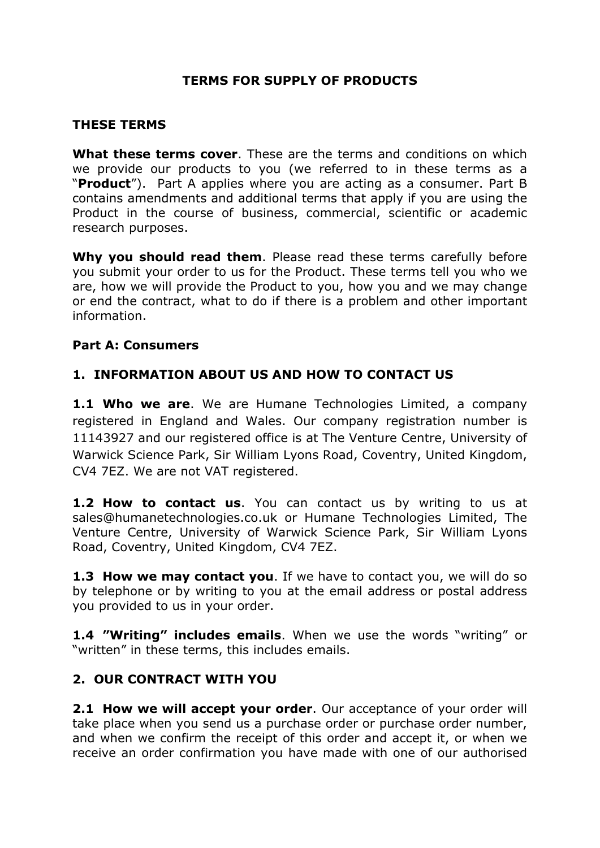## **TERMS FOR SUPPLY OF PRODUCTS**

### **THESE TERMS**

**What these terms cover**. These are the terms and conditions on which we provide our products to you (we referred to in these terms as a "**Product**"). Part A applies where you are acting as a consumer. Part B contains amendments and additional terms that apply if you are using the Product in the course of business, commercial, scientific or academic research purposes.

**Why you should read them**. Please read these terms carefully before you submit your order to us for the Product. These terms tell you who we are, how we will provide the Product to you, how you and we may change or end the contract, what to do if there is a problem and other important information.

### **Part A: Consumers**

## **1. INFORMATION ABOUT US AND HOW TO CONTACT US**

**1.1 Who we are**. We are Humane Technologies Limited, a company registered in England and Wales. Our company registration number is 11143927 and our registered office is at The Venture Centre, University of Warwick Science Park, Sir William Lyons Road, Coventry, United Kingdom, CV4 7EZ. We are not VAT registered.

**1.2 How to contact us**. You can contact us by writing to us at sales@humanetechnologies.co.uk or Humane Technologies Limited, The Venture Centre, University of Warwick Science Park, Sir William Lyons Road, Coventry, United Kingdom, CV4 7EZ.

**1.3 How we may contact you**. If we have to contact you, we will do so by telephone or by writing to you at the email address or postal address you provided to us in your order.

**1.4 "Writing" includes emails**. When we use the words "writing" or "written" in these terms, this includes emails.

## **2. OUR CONTRACT WITH YOU**

**2.1 How we will accept your order**. Our acceptance of your order will take place when you send us a purchase order or purchase order number, and when we confirm the receipt of this order and accept it, or when we receive an order confirmation you have made with one of our authorised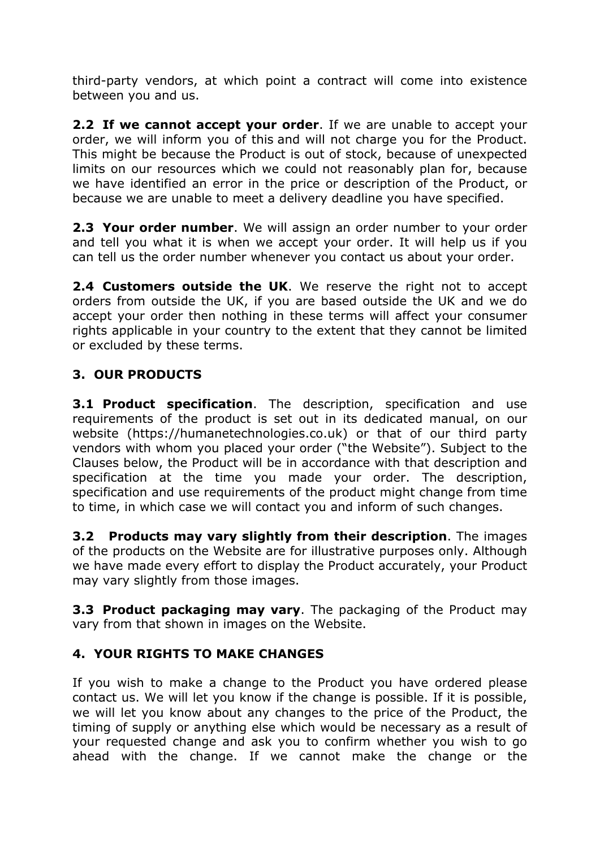third-party vendors, at which point a contract will come into existence between you and us.

**2.2 If we cannot accept your order**. If we are unable to accept your order, we will inform you of this and will not charge you for the Product. This might be because the Product is out of stock, because of unexpected limits on our resources which we could not reasonably plan for, because we have identified an error in the price or description of the Product, or because we are unable to meet a delivery deadline you have specified.

**2.3 Your order number**. We will assign an order number to your order and tell you what it is when we accept your order. It will help us if you can tell us the order number whenever you contact us about your order.

**2.4 Customers outside the UK**. We reserve the right not to accept orders from outside the UK, if you are based outside the UK and we do accept your order then nothing in these terms will affect your consumer rights applicable in your country to the extent that they cannot be limited or excluded by these terms.

## **3. OUR PRODUCTS**

**3.1 Product specification**. The description, specification and use requirements of the product is set out in its dedicated manual, on our website (https://humanetechnologies.co.uk) or that of our third party vendors with whom you placed your order ("the Website"). Subject to the Clauses below, the Product will be in accordance with that description and specification at the time you made your order. The description, specification and use requirements of the product might change from time to time, in which case we will contact you and inform of such changes.

**3.2 Products may vary slightly from their description**. The images of the products on the Website are for illustrative purposes only. Although we have made every effort to display the Product accurately, your Product may vary slightly from those images.

**3.3 Product packaging may vary**. The packaging of the Product may vary from that shown in images on the Website.

## **4. YOUR RIGHTS TO MAKE CHANGES**

If you wish to make a change to the Product you have ordered please contact us. We will let you know if the change is possible. If it is possible, we will let you know about any changes to the price of the Product, the timing of supply or anything else which would be necessary as a result of your requested change and ask you to confirm whether you wish to go ahead with the change. If we cannot make the change or the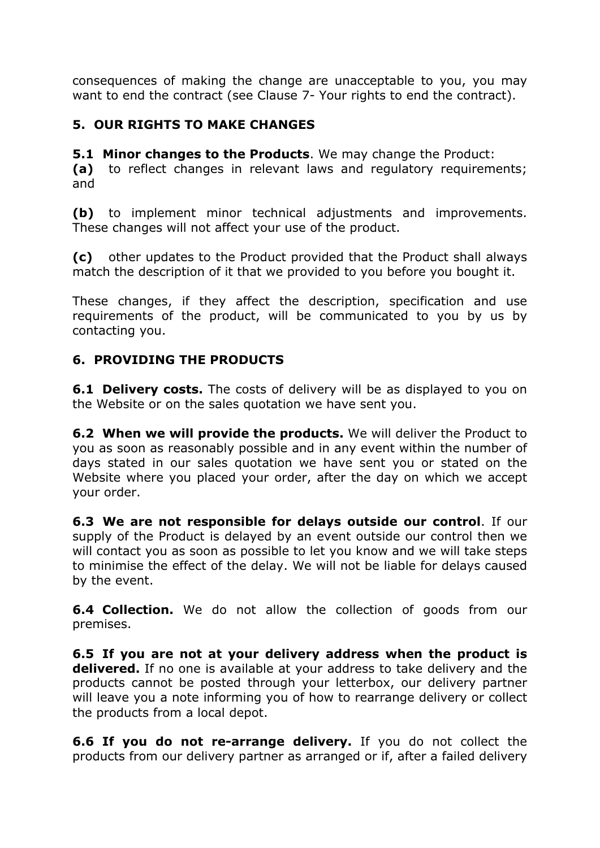consequences of making the change are unacceptable to you, you may want to end the contract (see Clause 7- Your rights to end the contract).

## **5. OUR RIGHTS TO MAKE CHANGES**

**5.1 Minor changes to the Products**. We may change the Product: **(a)** to reflect changes in relevant laws and regulatory requirements; and

**(b)** to implement minor technical adjustments and improvements. These changes will not affect your use of the product.

**(c)** other updates to the Product provided that the Product shall always match the description of it that we provided to you before you bought it.

These changes, if they affect the description, specification and use requirements of the product, will be communicated to you by us by contacting you.

## **6. PROVIDING THE PRODUCTS**

**6.1 Delivery costs.** The costs of delivery will be as displayed to you on the Website or on the sales quotation we have sent you.

**6.2 When we will provide the products.** We will deliver the Product to you as soon as reasonably possible and in any event within the number of days stated in our sales quotation we have sent you or stated on the Website where you placed your order, after the day on which we accept your order.

**6.3 We are not responsible for delays outside our control**. If our supply of the Product is delayed by an event outside our control then we will contact you as soon as possible to let you know and we will take steps to minimise the effect of the delay. We will not be liable for delays caused by the event.

**6.4 Collection.** We do not allow the collection of goods from our premises.

**6.5 If you are not at your delivery address when the product is delivered.** If no one is available at your address to take delivery and the products cannot be posted through your letterbox, our delivery partner will leave you a note informing you of how to rearrange delivery or collect the products from a local depot.

**6.6 If you do not re-arrange delivery.** If you do not collect the products from our delivery partner as arranged or if, after a failed delivery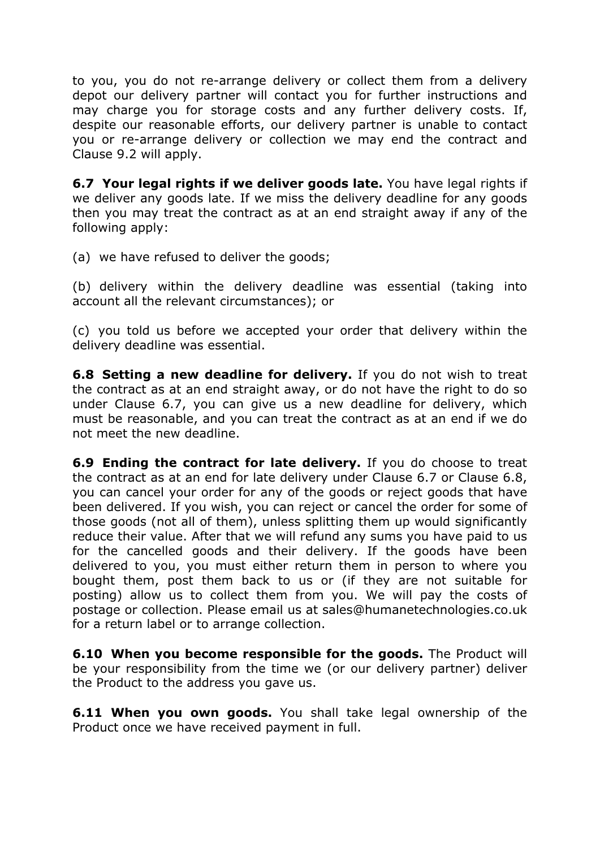to you, you do not re-arrange delivery or collect them from a delivery depot our delivery partner will contact you for further instructions and may charge you for storage costs and any further delivery costs. If, despite our reasonable efforts, our delivery partner is unable to contact you or re-arrange delivery or collection we may end the contract and Clause 9.2 will apply.

**6.7 Your legal rights if we deliver goods late.** You have legal rights if we deliver any goods late. If we miss the delivery deadline for any goods then you may treat the contract as at an end straight away if any of the following apply:

(a) we have refused to deliver the goods;

(b) delivery within the delivery deadline was essential (taking into account all the relevant circumstances); or

(c) you told us before we accepted your order that delivery within the delivery deadline was essential.

**6.8 Setting a new deadline for delivery.** If you do not wish to treat the contract as at an end straight away, or do not have the right to do so under Clause 6.7, you can give us a new deadline for delivery, which must be reasonable, and you can treat the contract as at an end if we do not meet the new deadline.

**6.9 Ending the contract for late delivery.** If you do choose to treat the contract as at an end for late delivery under Clause 6.7 or Clause 6.8, you can cancel your order for any of the goods or reject goods that have been delivered. If you wish, you can reject or cancel the order for some of those goods (not all of them), unless splitting them up would significantly reduce their value. After that we will refund any sums you have paid to us for the cancelled goods and their delivery. If the goods have been delivered to you, you must either return them in person to where you bought them, post them back to us or (if they are not suitable for posting) allow us to collect them from you. We will pay the costs of postage or collection. Please email us at sales@humanetechnologies.co.uk for a return label or to arrange collection.

**6.10 When you become responsible for the goods.** The Product will be your responsibility from the time we (or our delivery partner) deliver the Product to the address you gave us.

**6.11 When you own goods.** You shall take legal ownership of the Product once we have received payment in full.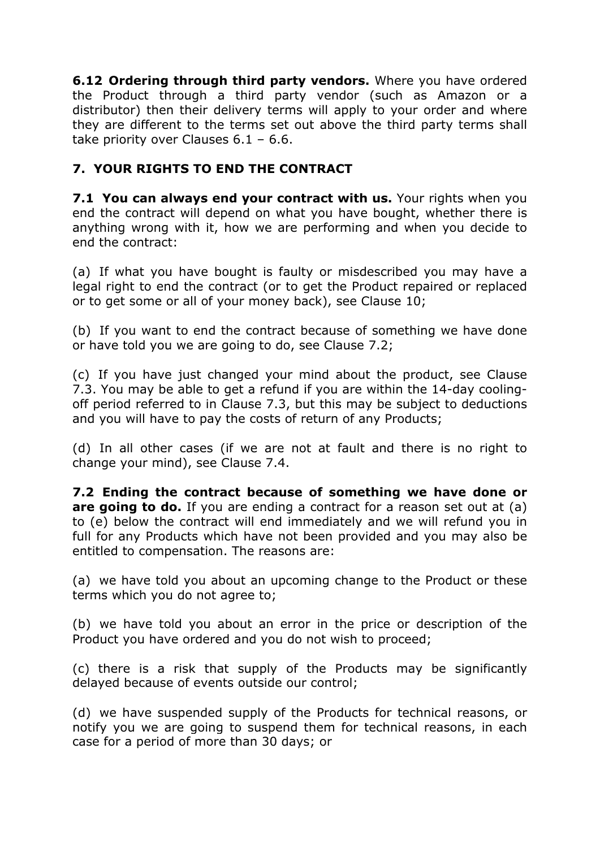**6.12 Ordering through third party vendors.** Where you have ordered the Product through a third party vendor (such as Amazon or a distributor) then their delivery terms will apply to your order and where they are different to the terms set out above the third party terms shall take priority over Clauses 6.1 – 6.6.

## **7. YOUR RIGHTS TO END THE CONTRACT**

**7.1 You can always end your contract with us.** Your rights when you end the contract will depend on what you have bought, whether there is anything wrong with it, how we are performing and when you decide to end the contract:

(a) If what you have bought is faulty or misdescribed you may have a legal right to end the contract (or to get the Product repaired or replaced or to get some or all of your money back), see Clause 10;

(b) If you want to end the contract because of something we have done or have told you we are going to do, see Clause 7.2;

(c) If you have just changed your mind about the product, see Clause 7.3. You may be able to get a refund if you are within the 14-day coolingoff period referred to in Clause 7.3, but this may be subject to deductions and you will have to pay the costs of return of any Products;

(d) In all other cases (if we are not at fault and there is no right to change your mind), see Clause 7.4.

**7.2 Ending the contract because of something we have done or are going to do.** If you are ending a contract for a reason set out at (a) to (e) below the contract will end immediately and we will refund you in full for any Products which have not been provided and you may also be entitled to compensation. The reasons are:

(a) we have told you about an upcoming change to the Product or these terms which you do not agree to;

(b) we have told you about an error in the price or description of the Product you have ordered and you do not wish to proceed;

(c) there is a risk that supply of the Products may be significantly delayed because of events outside our control;

(d) we have suspended supply of the Products for technical reasons, or notify you we are going to suspend them for technical reasons, in each case for a period of more than 30 days; or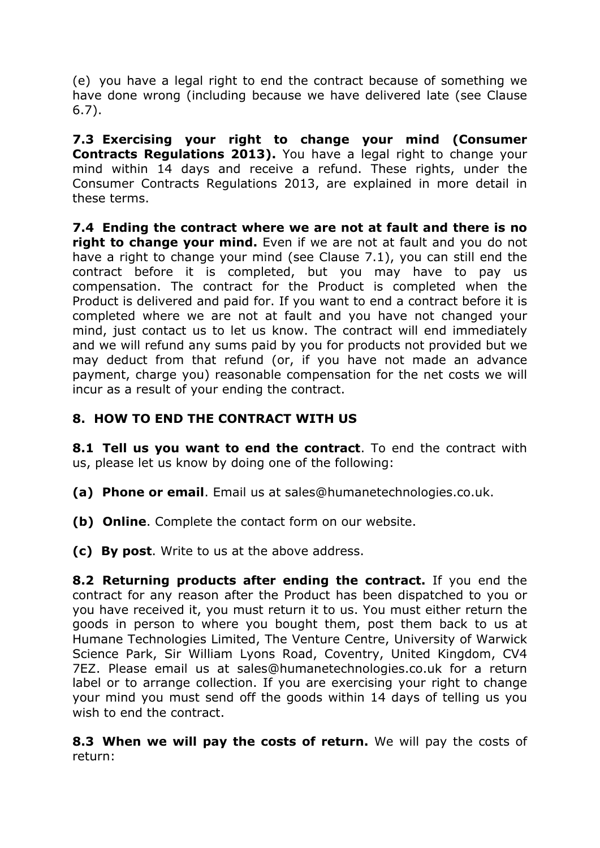(e) you have a legal right to end the contract because of something we have done wrong (including because we have delivered late (see Clause 6.7).

**7.3 Exercising your right to change your mind (Consumer Contracts Regulations 2013).** You have a legal right to change your mind within 14 days and receive a refund. These rights, under the Consumer Contracts Regulations 2013, are explained in more detail in these terms.

**7.4 Ending the contract where we are not at fault and there is no right to change your mind.** Even if we are not at fault and you do not have a right to change your mind (see Clause 7.1), you can still end the contract before it is completed, but you may have to pay us compensation. The contract for the Product is completed when the Product is delivered and paid for. If you want to end a contract before it is completed where we are not at fault and you have not changed your mind, just contact us to let us know. The contract will end immediately and we will refund any sums paid by you for products not provided but we may deduct from that refund (or, if you have not made an advance payment, charge you) reasonable compensation for the net costs we will incur as a result of your ending the contract.

## **8. HOW TO END THE CONTRACT WITH US**

**8.1 Tell us you want to end the contract**. To end the contract with us, please let us know by doing one of the following:

- **(a) Phone or email**. Email us at sales@humanetechnologies.co.uk.
- **(b) Online**. Complete the contact form on our website.
- **(c) By post**. Write to us at the above address.

**8.2 Returning products after ending the contract.** If you end the contract for any reason after the Product has been dispatched to you or you have received it, you must return it to us. You must either return the goods in person to where you bought them, post them back to us at Humane Technologies Limited, The Venture Centre, University of Warwick Science Park, Sir William Lyons Road, Coventry, United Kingdom, CV4 7EZ. Please email us at sales@humanetechnologies.co.uk for a return label or to arrange collection. If you are exercising your right to change your mind you must send off the goods within 14 days of telling us you wish to end the contract.

**8.3 When we will pay the costs of return.** We will pay the costs of return: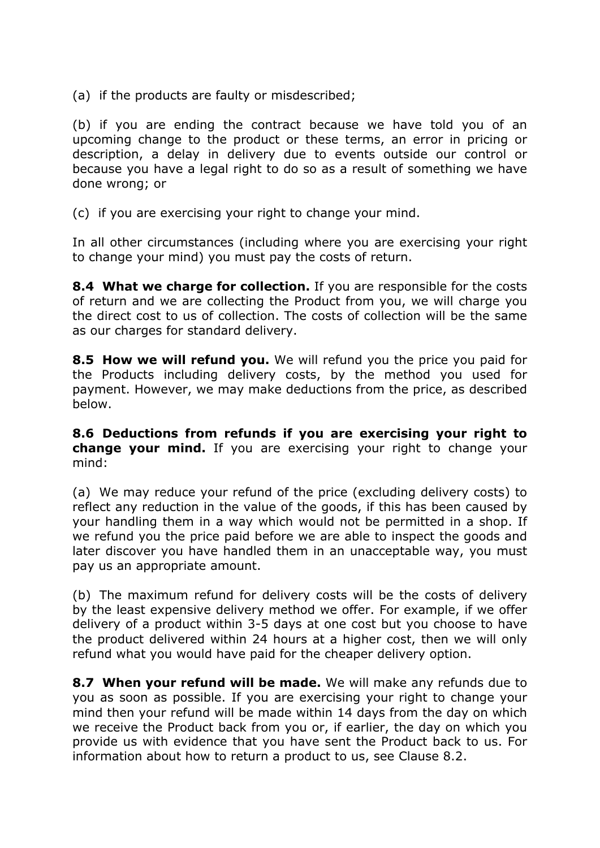(a) if the products are faulty or misdescribed;

(b) if you are ending the contract because we have told you of an upcoming change to the product or these terms, an error in pricing or description, a delay in delivery due to events outside our control or because you have a legal right to do so as a result of something we have done wrong; or

(c) if you are exercising your right to change your mind.

In all other circumstances (including where you are exercising your right to change your mind) you must pay the costs of return.

**8.4 What we charge for collection.** If you are responsible for the costs of return and we are collecting the Product from you, we will charge you the direct cost to us of collection. The costs of collection will be the same as our charges for standard delivery.

**8.5 How we will refund you.** We will refund you the price you paid for the Products including delivery costs, by the method you used for payment. However, we may make deductions from the price, as described below.

**8.6 Deductions from refunds if you are exercising your right to change your mind.** If you are exercising your right to change your mind:

(a) We may reduce your refund of the price (excluding delivery costs) to reflect any reduction in the value of the goods, if this has been caused by your handling them in a way which would not be permitted in a shop. If we refund you the price paid before we are able to inspect the goods and later discover you have handled them in an unacceptable way, you must pay us an appropriate amount.

(b) The maximum refund for delivery costs will be the costs of delivery by the least expensive delivery method we offer. For example, if we offer delivery of a product within 3-5 days at one cost but you choose to have the product delivered within 24 hours at a higher cost, then we will only refund what you would have paid for the cheaper delivery option.

**8.7 When your refund will be made.** We will make any refunds due to you as soon as possible. If you are exercising your right to change your mind then your refund will be made within 14 days from the day on which we receive the Product back from you or, if earlier, the day on which you provide us with evidence that you have sent the Product back to us. For information about how to return a product to us, see Clause 8.2.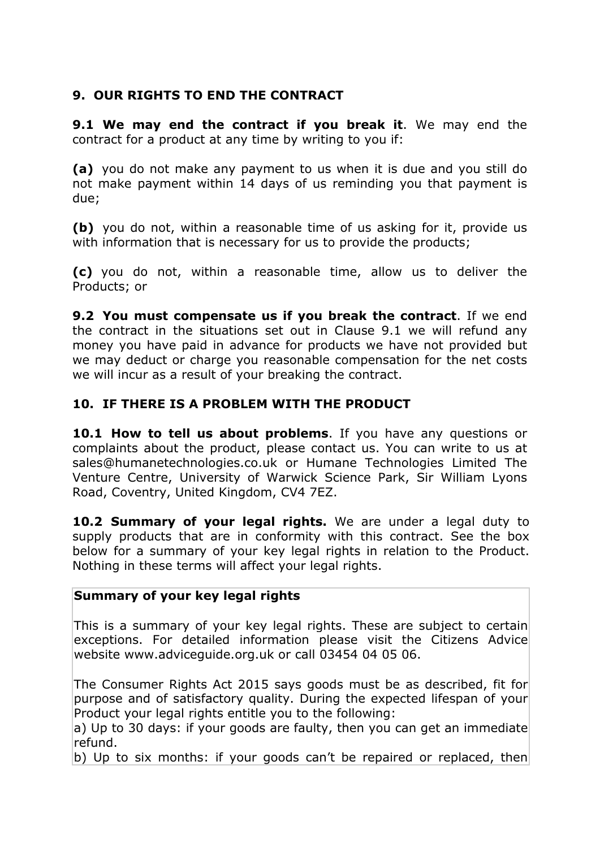## **9. OUR RIGHTS TO END THE CONTRACT**

**9.1 We may end the contract if you break it**. We may end the contract for a product at any time by writing to you if:

**(a)** you do not make any payment to us when it is due and you still do not make payment within 14 days of us reminding you that payment is due;

**(b)** you do not, within a reasonable time of us asking for it, provide us with information that is necessary for us to provide the products;

**(c)** you do not, within a reasonable time, allow us to deliver the Products; or

**9.2 You must compensate us if you break the contract**. If we end the contract in the situations set out in Clause 9.1 we will refund any money you have paid in advance for products we have not provided but we may deduct or charge you reasonable compensation for the net costs we will incur as a result of your breaking the contract.

## **10. IF THERE IS A PROBLEM WITH THE PRODUCT**

**10.1 How to tell us about problems**. If you have any questions or complaints about the product, please contact us. You can write to us at sales@humanetechnologies.co.uk or Humane Technologies Limited The Venture Centre, University of Warwick Science Park, Sir William Lyons Road, Coventry, United Kingdom, CV4 7EZ.

**10.2 Summary of your legal rights.** We are under a legal duty to supply products that are in conformity with this contract. See the box below for a summary of your key legal rights in relation to the Product. Nothing in these terms will affect your legal rights.

## **Summary of your key legal rights**

This is a summary of your key legal rights. These are subject to certain exceptions. For detailed information please visit the Citizens Advice website www.adviceguide.org.uk or call 03454 04 05 06.

The Consumer Rights Act 2015 says goods must be as described, fit for purpose and of satisfactory quality. During the expected lifespan of your Product your legal rights entitle you to the following:

a) Up to 30 days: if your goods are faulty, then you can get an immediate refund.

b) Up to six months: if your goods can't be repaired or replaced, then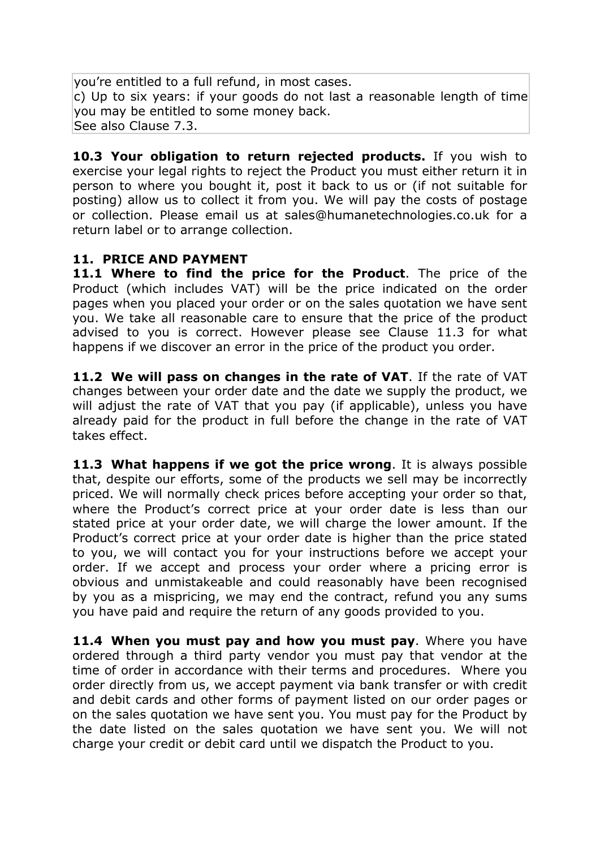you're entitled to a full refund, in most cases. c) Up to six years: if your goods do not last a reasonable length of time you may be entitled to some money back. See also Clause 7.3.

**10.3 Your obligation to return rejected products.** If you wish to exercise your legal rights to reject the Product you must either return it in person to where you bought it, post it back to us or (if not suitable for posting) allow us to collect it from you. We will pay the costs of postage or collection. Please email us at sales@humanetechnologies.co.uk for a return label or to arrange collection.

## **11. PRICE AND PAYMENT**

**11.1 Where to find the price for the Product**. The price of the Product (which includes VAT) will be the price indicated on the order pages when you placed your order or on the sales quotation we have sent you. We take all reasonable care to ensure that the price of the product advised to you is correct. However please see Clause 11.3 for what happens if we discover an error in the price of the product you order.

**11.2 We will pass on changes in the rate of VAT**. If the rate of VAT changes between your order date and the date we supply the product, we will adjust the rate of VAT that you pay (if applicable), unless you have already paid for the product in full before the change in the rate of VAT takes effect.

**11.3 What happens if we got the price wrong**. It is always possible that, despite our efforts, some of the products we sell may be incorrectly priced. We will normally check prices before accepting your order so that, where the Product's correct price at your order date is less than our stated price at your order date, we will charge the lower amount. If the Product's correct price at your order date is higher than the price stated to you, we will contact you for your instructions before we accept your order. If we accept and process your order where a pricing error is obvious and unmistakeable and could reasonably have been recognised by you as a mispricing, we may end the contract, refund you any sums you have paid and require the return of any goods provided to you.

**11.4 When you must pay and how you must pay**. Where you have ordered through a third party vendor you must pay that vendor at the time of order in accordance with their terms and procedures. Where you order directly from us, we accept payment via bank transfer or with credit and debit cards and other forms of payment listed on our order pages or on the sales quotation we have sent you. You must pay for the Product by the date listed on the sales quotation we have sent you. We will not charge your credit or debit card until we dispatch the Product to you.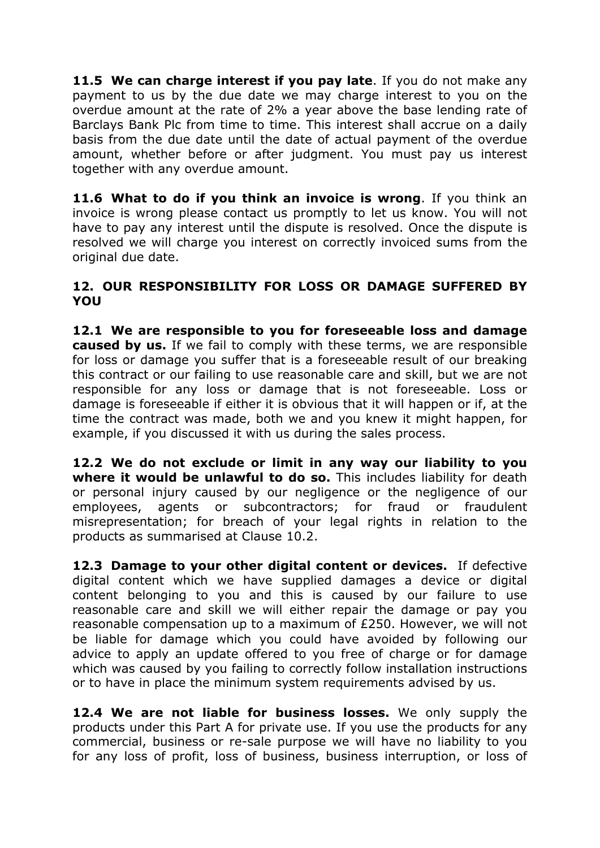**11.5 We can charge interest if you pay late**. If you do not make any payment to us by the due date we may charge interest to you on the overdue amount at the rate of 2% a year above the base lending rate of Barclays Bank Plc from time to time. This interest shall accrue on a daily basis from the due date until the date of actual payment of the overdue amount, whether before or after judgment. You must pay us interest together with any overdue amount.

**11.6 What to do if you think an invoice is wrong**. If you think an invoice is wrong please contact us promptly to let us know. You will not have to pay any interest until the dispute is resolved. Once the dispute is resolved we will charge you interest on correctly invoiced sums from the original due date.

### **12. OUR RESPONSIBILITY FOR LOSS OR DAMAGE SUFFERED BY YOU**

**12.1 We are responsible to you for foreseeable loss and damage caused by us.** If we fail to comply with these terms, we are responsible for loss or damage you suffer that is a foreseeable result of our breaking this contract or our failing to use reasonable care and skill, but we are not responsible for any loss or damage that is not foreseeable. Loss or damage is foreseeable if either it is obvious that it will happen or if, at the time the contract was made, both we and you knew it might happen, for example, if you discussed it with us during the sales process.

**12.2 We do not exclude or limit in any way our liability to you where it would be unlawful to do so.** This includes liability for death or personal injury caused by our negligence or the negligence of our employees, agents or subcontractors; for fraud or fraudulent misrepresentation; for breach of your legal rights in relation to the products as summarised at Clause 10.2.

**12.3 Damage to your other digital content or devices.** If defective digital content which we have supplied damages a device or digital content belonging to you and this is caused by our failure to use reasonable care and skill we will either repair the damage or pay you reasonable compensation up to a maximum of £250. However, we will not be liable for damage which you could have avoided by following our advice to apply an update offered to you free of charge or for damage which was caused by you failing to correctly follow installation instructions or to have in place the minimum system requirements advised by us.

**12.4 We are not liable for business losses.** We only supply the products under this Part A for private use. If you use the products for any commercial, business or re-sale purpose we will have no liability to you for any loss of profit, loss of business, business interruption, or loss of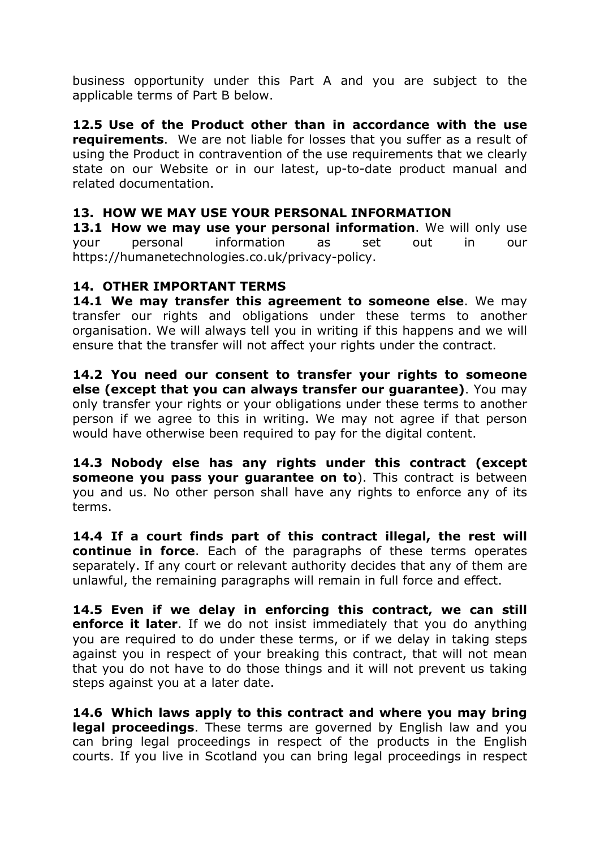business opportunity under this Part A and you are subject to the applicable terms of Part B below.

**12.5 Use of the Product other than in accordance with the use requirements**. We are not liable for losses that you suffer as a result of using the Product in contravention of the use requirements that we clearly state on our Website or in our latest, up-to-date product manual and related documentation.

## **13. HOW WE MAY USE YOUR PERSONAL INFORMATION**

**13.1 How we may use your personal information**. We will only use your personal information as set out in our https://humanetechnologies.co.uk/privacy-policy.

## **14. OTHER IMPORTANT TERMS**

**14.1 We may transfer this agreement to someone else**. We may transfer our rights and obligations under these terms to another organisation. We will always tell you in writing if this happens and we will ensure that the transfer will not affect your rights under the contract.

**14.2 You need our consent to transfer your rights to someone else (except that you can always transfer our guarantee)**. You may only transfer your rights or your obligations under these terms to another person if we agree to this in writing. We may not agree if that person would have otherwise been required to pay for the digital content.

**14.3 Nobody else has any rights under this contract (except someone you pass your guarantee on to**). This contract is between you and us. No other person shall have any rights to enforce any of its terms.

**14.4 If a court finds part of this contract illegal, the rest will continue in force**. Each of the paragraphs of these terms operates separately. If any court or relevant authority decides that any of them are unlawful, the remaining paragraphs will remain in full force and effect.

**14.5 Even if we delay in enforcing this contract, we can still enforce it later**. If we do not insist immediately that you do anything you are required to do under these terms, or if we delay in taking steps against you in respect of your breaking this contract, that will not mean that you do not have to do those things and it will not prevent us taking steps against you at a later date.

**14.6 Which laws apply to this contract and where you may bring legal proceedings**. These terms are governed by English law and you can bring legal proceedings in respect of the products in the English courts. If you live in Scotland you can bring legal proceedings in respect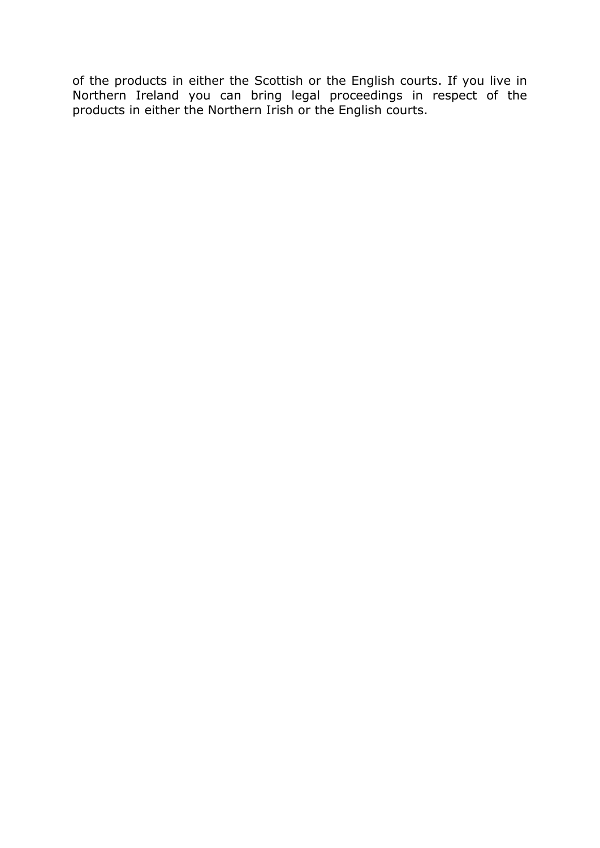of the products in either the Scottish or the English courts. If you live in Northern Ireland you can bring legal proceedings in respect of the products in either the Northern Irish or the English courts.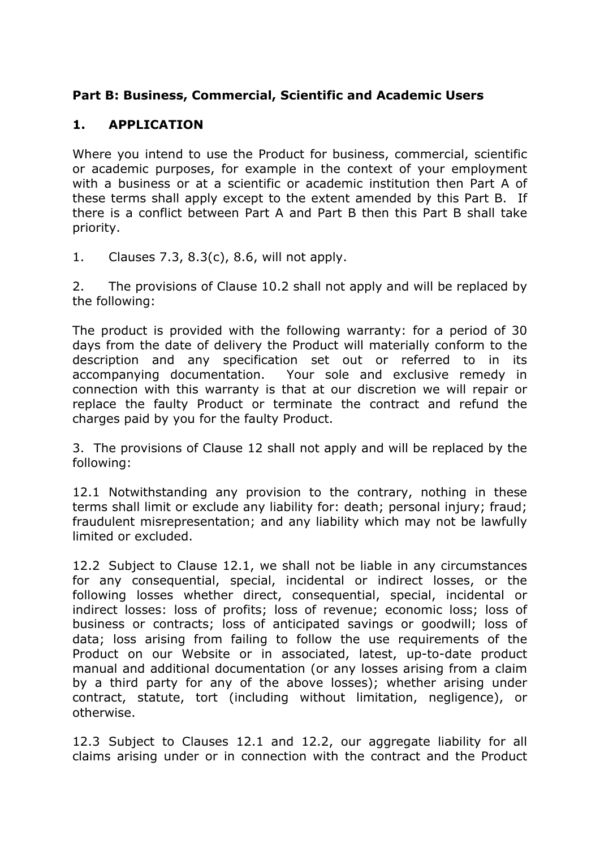## **Part B: Business, Commercial, Scientific and Academic Users**

## **1. APPLICATION**

Where you intend to use the Product for business, commercial, scientific or academic purposes, for example in the context of your employment with a business or at a scientific or academic institution then Part A of these terms shall apply except to the extent amended by this Part B. If there is a conflict between Part A and Part B then this Part B shall take priority.

1. Clauses 7.3, 8.3(c), 8.6, will not apply.

2. The provisions of Clause 10.2 shall not apply and will be replaced by the following:

The product is provided with the following warranty: for a period of 30 days from the date of delivery the Product will materially conform to the description and any specification set out or referred to in its accompanying documentation. Your sole and exclusive remedy in connection with this warranty is that at our discretion we will repair or replace the faulty Product or terminate the contract and refund the charges paid by you for the faulty Product.

3. The provisions of Clause 12 shall not apply and will be replaced by the following:

12.1 Notwithstanding any provision to the contrary, nothing in these terms shall limit or exclude any liability for: death; personal injury; fraud; fraudulent misrepresentation; and any liability which may not be lawfully limited or excluded.

12.2 Subject to Clause 12.1, we shall not be liable in any circumstances for any consequential, special, incidental or indirect losses, or the following losses whether direct, consequential, special, incidental or indirect losses: loss of profits; loss of revenue; economic loss; loss of business or contracts; loss of anticipated savings or goodwill; loss of data; loss arising from failing to follow the use requirements of the Product on our Website or in associated, latest, up-to-date product manual and additional documentation (or any losses arising from a claim by a third party for any of the above losses); whether arising under contract, statute, tort (including without limitation, negligence), or otherwise.

12.3 Subject to Clauses 12.1 and 12.2, our aggregate liability for all claims arising under or in connection with the contract and the Product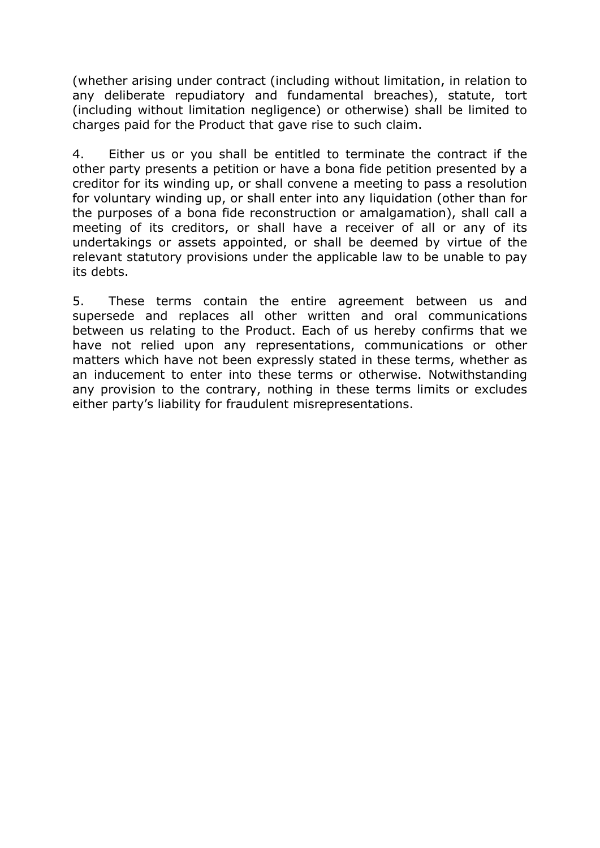(whether arising under contract (including without limitation, in relation to any deliberate repudiatory and fundamental breaches), statute, tort (including without limitation negligence) or otherwise) shall be limited to charges paid for the Product that gave rise to such claim.

4. Either us or you shall be entitled to terminate the contract if the other party presents a petition or have a bona fide petition presented by a creditor for its winding up, or shall convene a meeting to pass a resolution for voluntary winding up, or shall enter into any liquidation (other than for the purposes of a bona fide reconstruction or amalgamation), shall call a meeting of its creditors, or shall have a receiver of all or any of its undertakings or assets appointed, or shall be deemed by virtue of the relevant statutory provisions under the applicable law to be unable to pay its debts.

5. These terms contain the entire agreement between us and supersede and replaces all other written and oral communications between us relating to the Product. Each of us hereby confirms that we have not relied upon any representations, communications or other matters which have not been expressly stated in these terms, whether as an inducement to enter into these terms or otherwise. Notwithstanding any provision to the contrary, nothing in these terms limits or excludes either party's liability for fraudulent misrepresentations.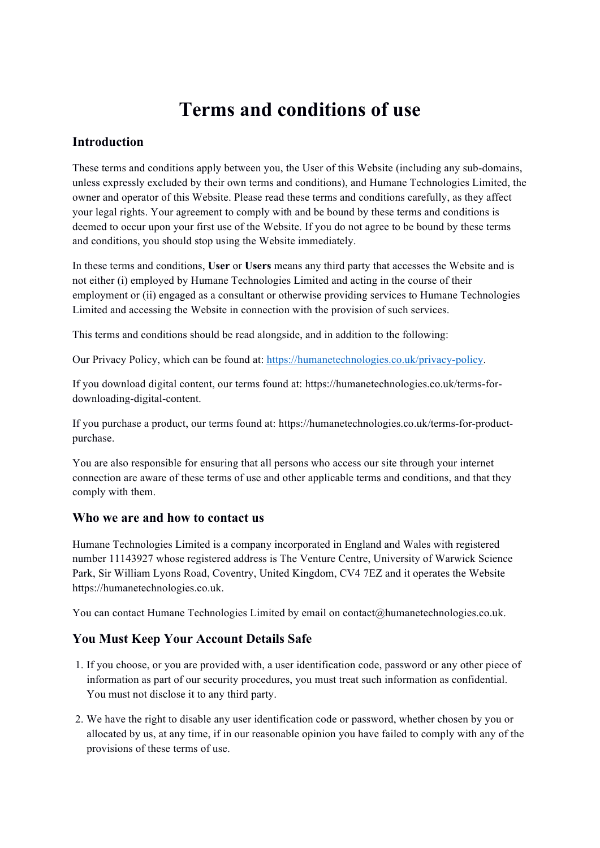# **Terms and conditions of use**

### **Introduction**

These terms and conditions apply between you, the User of this Website (including any sub-domains, unless expressly excluded by their own terms and conditions), and Humane Technologies Limited, the owner and operator of this Website. Please read these terms and conditions carefully, as they affect your legal rights. Your agreement to comply with and be bound by these terms and conditions is deemed to occur upon your first use of the Website. If you do not agree to be bound by these terms and conditions, you should stop using the Website immediately.

In these terms and conditions, **User** or **Users** means any third party that accesses the Website and is not either (i) employed by Humane Technologies Limited and acting in the course of their employment or (ii) engaged as a consultant or otherwise providing services to Humane Technologies Limited and accessing the Website in connection with the provision of such services.

This terms and conditions should be read alongside, and in addition to the following:

Our Privacy Policy, which can be found at: https://humanetechnologies.co.uk/privacy-policy.

If you download digital content, our terms found at: https://humanetechnologies.co.uk/terms-fordownloading-digital-content.

If you purchase a product, our terms found at: https://humanetechnologies.co.uk/terms-for-productpurchase.

You are also responsible for ensuring that all persons who access our site through your internet connection are aware of these terms of use and other applicable terms and conditions, and that they comply with them.

#### **Who we are and how to contact us**

Humane Technologies Limited is a company incorporated in England and Wales with registered number 11143927 whose registered address is The Venture Centre, University of Warwick Science Park, Sir William Lyons Road, Coventry, United Kingdom, CV4 7EZ and it operates the Website https://humanetechnologies.co.uk.

You can contact Humane Technologies Limited by email on contact@humanetechnologies.co.uk.

### **You Must Keep Your Account Details Safe**

- 1. If you choose, or you are provided with, a user identification code, password or any other piece of information as part of our security procedures, you must treat such information as confidential. You must not disclose it to any third party.
- 2. We have the right to disable any user identification code or password, whether chosen by you or allocated by us, at any time, if in our reasonable opinion you have failed to comply with any of the provisions of these terms of use.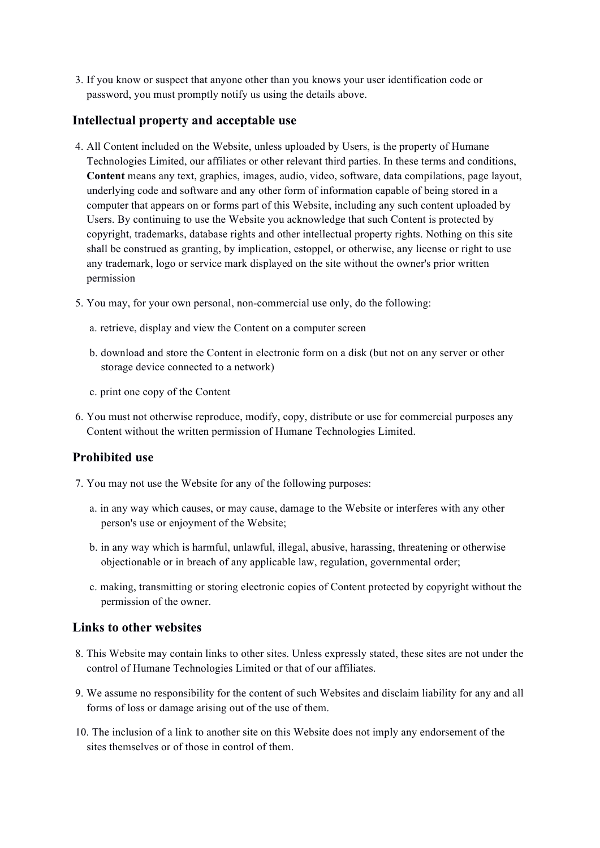3. If you know or suspect that anyone other than you knows your user identification code or password, you must promptly notify us using the details above.

#### **Intellectual property and acceptable use**

- 4. All Content included on the Website, unless uploaded by Users, is the property of Humane Technologies Limited, our affiliates or other relevant third parties. In these terms and conditions, **Content** means any text, graphics, images, audio, video, software, data compilations, page layout, underlying code and software and any other form of information capable of being stored in a computer that appears on or forms part of this Website, including any such content uploaded by Users. By continuing to use the Website you acknowledge that such Content is protected by copyright, trademarks, database rights and other intellectual property rights. Nothing on this site shall be construed as granting, by implication, estoppel, or otherwise, any license or right to use any trademark, logo or service mark displayed on the site without the owner's prior written permission
- 5. You may, for your own personal, non-commercial use only, do the following:
	- a. retrieve, display and view the Content on a computer screen
	- b. download and store the Content in electronic form on a disk (but not on any server or other storage device connected to a network)
	- c. print one copy of the Content
- 6. You must not otherwise reproduce, modify, copy, distribute or use for commercial purposes any Content without the written permission of Humane Technologies Limited.

#### **Prohibited use**

- 7. You may not use the Website for any of the following purposes:
	- a. in any way which causes, or may cause, damage to the Website or interferes with any other person's use or enjoyment of the Website;
	- b. in any way which is harmful, unlawful, illegal, abusive, harassing, threatening or otherwise objectionable or in breach of any applicable law, regulation, governmental order;
	- c. making, transmitting or storing electronic copies of Content protected by copyright without the permission of the owner.

#### **Links to other websites**

- 8. This Website may contain links to other sites. Unless expressly stated, these sites are not under the control of Humane Technologies Limited or that of our affiliates.
- 9. We assume no responsibility for the content of such Websites and disclaim liability for any and all forms of loss or damage arising out of the use of them.
- 10. The inclusion of a link to another site on this Website does not imply any endorsement of the sites themselves or of those in control of them.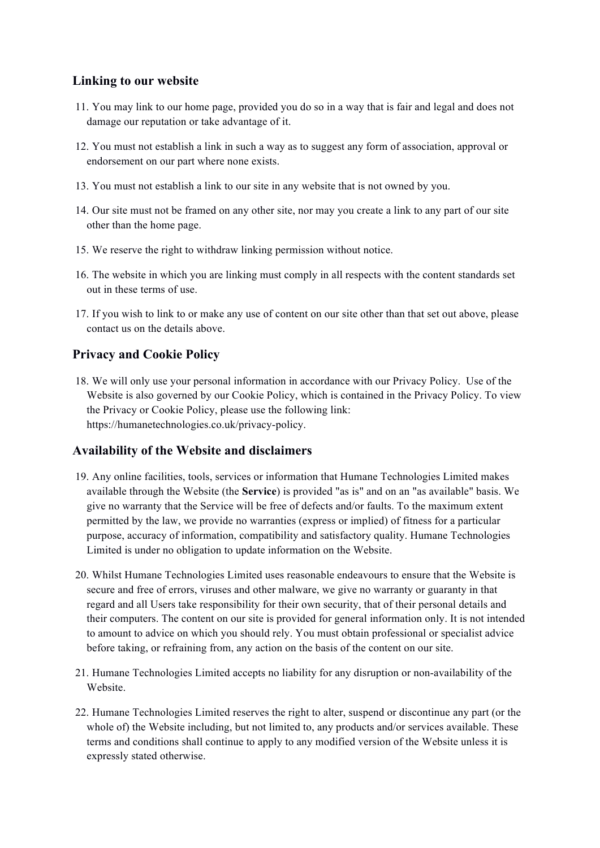### **Linking to our website**

- 11. You may link to our home page, provided you do so in a way that is fair and legal and does not damage our reputation or take advantage of it.
- 12. You must not establish a link in such a way as to suggest any form of association, approval or endorsement on our part where none exists.
- 13. You must not establish a link to our site in any website that is not owned by you.
- 14. Our site must not be framed on any other site, nor may you create a link to any part of our site other than the home page.
- 15. We reserve the right to withdraw linking permission without notice.
- 16. The website in which you are linking must comply in all respects with the content standards set out in these terms of use.
- 17. If you wish to link to or make any use of content on our site other than that set out above, please contact us on the details above.

#### **Privacy and Cookie Policy**

18. We will only use your personal information in accordance with our Privacy Policy. Use of the Website is also governed by our Cookie Policy, which is contained in the Privacy Policy. To view the Privacy or Cookie Policy, please use the following link: https://humanetechnologies.co.uk/privacy-policy.

#### **Availability of the Website and disclaimers**

- 19. Any online facilities, tools, services or information that Humane Technologies Limited makes available through the Website (the **Service**) is provided "as is" and on an "as available" basis. We give no warranty that the Service will be free of defects and/or faults. To the maximum extent permitted by the law, we provide no warranties (express or implied) of fitness for a particular purpose, accuracy of information, compatibility and satisfactory quality. Humane Technologies Limited is under no obligation to update information on the Website.
- 20. Whilst Humane Technologies Limited uses reasonable endeavours to ensure that the Website is secure and free of errors, viruses and other malware, we give no warranty or guaranty in that regard and all Users take responsibility for their own security, that of their personal details and their computers. The content on our site is provided for general information only. It is not intended to amount to advice on which you should rely. You must obtain professional or specialist advice before taking, or refraining from, any action on the basis of the content on our site.
- 21. Humane Technologies Limited accepts no liability for any disruption or non-availability of the Website.
- 22. Humane Technologies Limited reserves the right to alter, suspend or discontinue any part (or the whole of) the Website including, but not limited to, any products and/or services available. These terms and conditions shall continue to apply to any modified version of the Website unless it is expressly stated otherwise.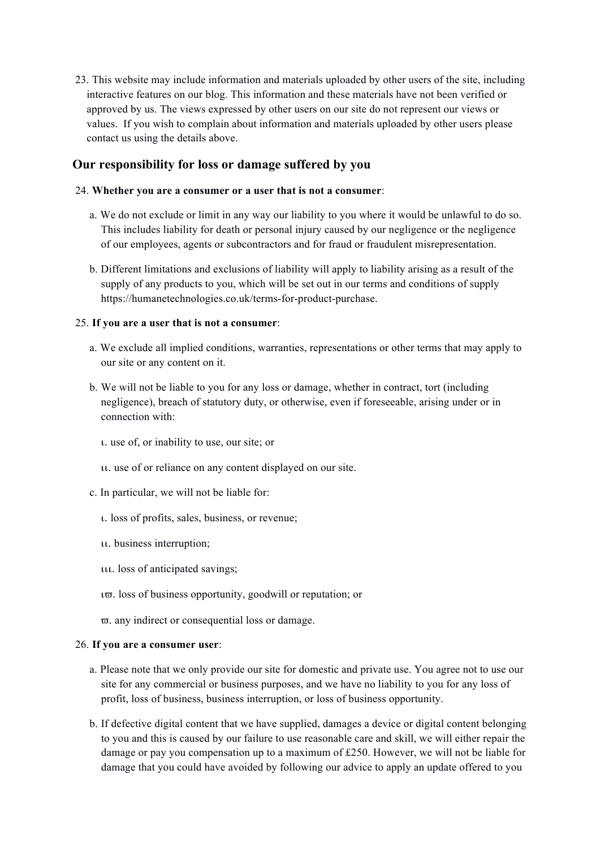23. This website may include information and materials uploaded by other users of the site, including interactive features on our blog. This information and these materials have not been verified or approved by us. The views expressed by other users on our site do not represent our views or values. If you wish to complain about information and materials uploaded by other users please contact us using the details above.

#### **Our responsibility for loss or damage suffered by you**

#### 24. **Whether you are a consumer or a user that is not a consumer**:

- a. We do not exclude or limit in any way our liability to you where it would be unlawful to do so. This includes liability for death or personal injury caused by our negligence or the negligence of our employees, agents or subcontractors and for fraud or fraudulent misrepresentation.
- b. Different limitations and exclusions of liability will apply to liability arising as a result of the supply of any products to you, which will be set out in our terms and conditions of supply https://humanetechnologies.co.uk/terms-for-product-purchase.

#### 25. **If you are a user that is not a consumer**:

- a. We exclude all implied conditions, warranties, representations or other terms that may apply to our site or any content on it.
- b. We will not be liable to you for any loss or damage, whether in contract, tort (including negligence), breach of statutory duty, or otherwise, even if foreseeable, arising under or in connection with:
	- ι. use of, or inability to use, our site; or
	- ιι. use of or reliance on any content displayed on our site.
- c. In particular, we will not be liable for:
	- ι. loss of profits, sales, business, or revenue;
	- ιι. business interruption;
	- ιιι. loss of anticipated savings;
	- ιϖ. loss of business opportunity, goodwill or reputation; or
	- ϖ. any indirect or consequential loss or damage.

#### 26. **If you are a consumer user**:

- a. Please note that we only provide our site for domestic and private use. You agree not to use our site for any commercial or business purposes, and we have no liability to you for any loss of profit, loss of business, business interruption, or loss of business opportunity.
- b. If defective digital content that we have supplied, damages a device or digital content belonging to you and this is caused by our failure to use reasonable care and skill, we will either repair the damage or pay you compensation up to a maximum of £250. However, we will not be liable for damage that you could have avoided by following our advice to apply an update offered to you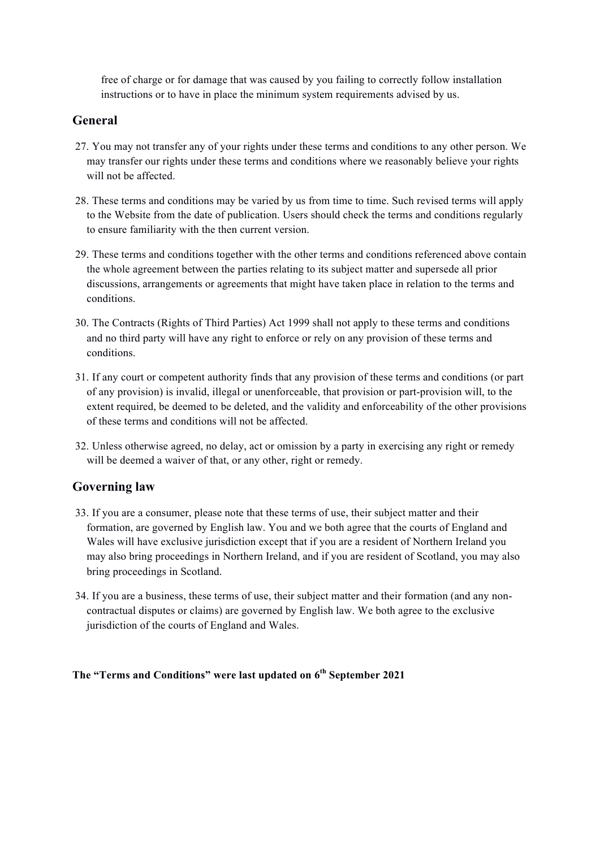free of charge or for damage that was caused by you failing to correctly follow installation instructions or to have in place the minimum system requirements advised by us.

### **General**

- 27. You may not transfer any of your rights under these terms and conditions to any other person. We may transfer our rights under these terms and conditions where we reasonably believe your rights will not be affected.
- 28. These terms and conditions may be varied by us from time to time. Such revised terms will apply to the Website from the date of publication. Users should check the terms and conditions regularly to ensure familiarity with the then current version.
- 29. These terms and conditions together with the other terms and conditions referenced above contain the whole agreement between the parties relating to its subject matter and supersede all prior discussions, arrangements or agreements that might have taken place in relation to the terms and conditions.
- 30. The Contracts (Rights of Third Parties) Act 1999 shall not apply to these terms and conditions and no third party will have any right to enforce or rely on any provision of these terms and conditions.
- 31. If any court or competent authority finds that any provision of these terms and conditions (or part of any provision) is invalid, illegal or unenforceable, that provision or part-provision will, to the extent required, be deemed to be deleted, and the validity and enforceability of the other provisions of these terms and conditions will not be affected.
- 32. Unless otherwise agreed, no delay, act or omission by a party in exercising any right or remedy will be deemed a waiver of that, or any other, right or remedy.

## **Governing law**

- 33. If you are a consumer, please note that these terms of use, their subject matter and their formation, are governed by English law. You and we both agree that the courts of England and Wales will have exclusive jurisdiction except that if you are a resident of Northern Ireland you may also bring proceedings in Northern Ireland, and if you are resident of Scotland, you may also bring proceedings in Scotland.
- 34. If you are a business, these terms of use, their subject matter and their formation (and any noncontractual disputes or claims) are governed by English law. We both agree to the exclusive jurisdiction of the courts of England and Wales.

#### **The "Terms and Conditions" were last updated on 6th September 2021**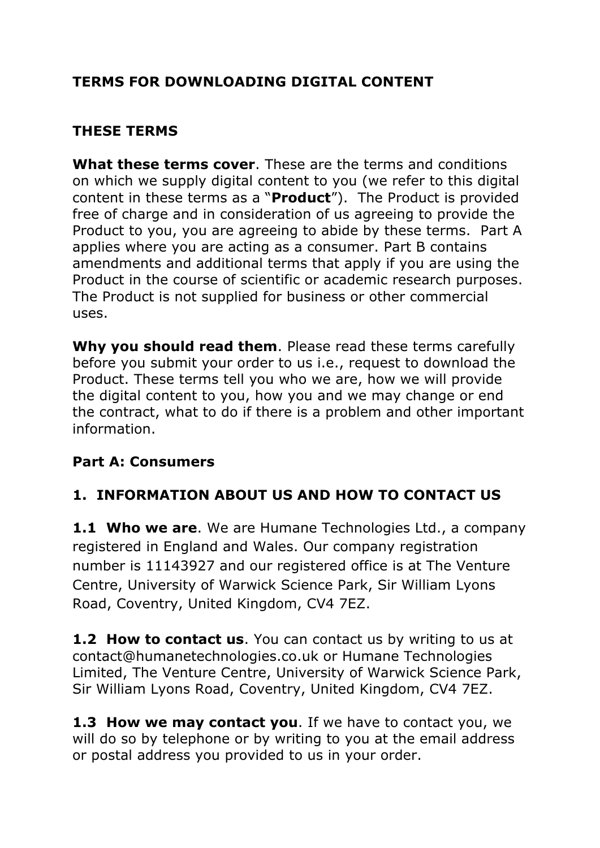# **TERMS FOR DOWNLOADING DIGITAL CONTENT**

## **THESE TERMS**

**What these terms cover**. These are the terms and conditions on which we supply digital content to you (we refer to this digital content in these terms as a "**Product**"). The Product is provided free of charge and in consideration of us agreeing to provide the Product to you, you are agreeing to abide by these terms. Part A applies where you are acting as a consumer. Part B contains amendments and additional terms that apply if you are using the Product in the course of scientific or academic research purposes. The Product is not supplied for business or other commercial uses.

**Why you should read them**. Please read these terms carefully before you submit your order to us i.e., request to download the Product. These terms tell you who we are, how we will provide the digital content to you, how you and we may change or end the contract, what to do if there is a problem and other important information.

## **Part A: Consumers**

# **1. INFORMATION ABOUT US AND HOW TO CONTACT US**

**1.1 Who we are**. We are Humane Technologies Ltd., a company registered in England and Wales. Our company registration number is 11143927 and our registered office is at The Venture Centre, University of Warwick Science Park, Sir William Lyons Road, Coventry, United Kingdom, CV4 7EZ.

**1.2 How to contact us**. You can contact us by writing to us at contact@humanetechnologies.co.uk or Humane Technologies Limited, The Venture Centre, University of Warwick Science Park, Sir William Lyons Road, Coventry, United Kingdom, CV4 7EZ.

**1.3 How we may contact you**. If we have to contact you, we will do so by telephone or by writing to you at the email address or postal address you provided to us in your order.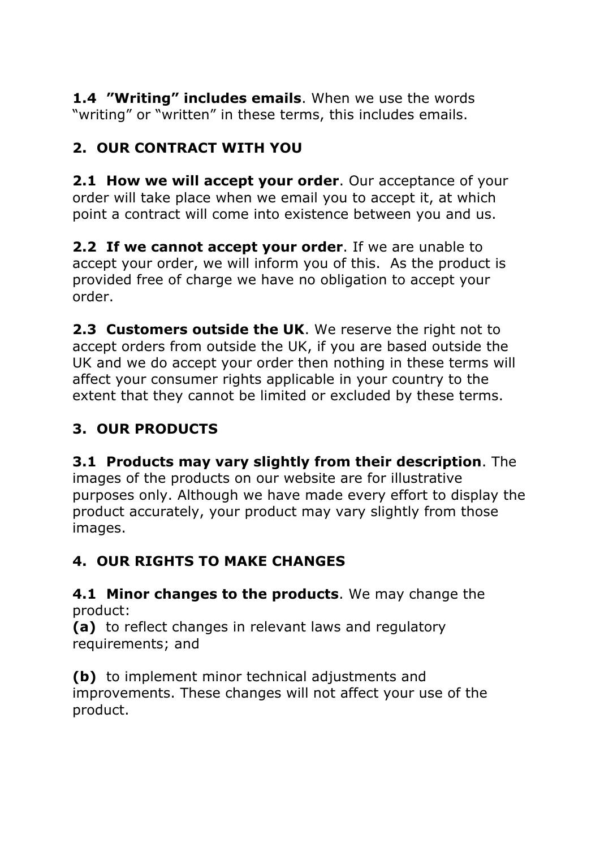**1.4 "Writing" includes emails**. When we use the words "writing" or "written" in these terms, this includes emails.

# **2. OUR CONTRACT WITH YOU**

**2.1 How we will accept your order**. Our acceptance of your order will take place when we email you to accept it, at which point a contract will come into existence between you and us.

**2.2 If we cannot accept your order**. If we are unable to accept your order, we will inform you of this. As the product is provided free of charge we have no obligation to accept your order.

**2.3 Customers outside the UK**. We reserve the right not to accept orders from outside the UK, if you are based outside the UK and we do accept your order then nothing in these terms will affect your consumer rights applicable in your country to the extent that they cannot be limited or excluded by these terms.

# **3. OUR PRODUCTS**

**3.1 Products may vary slightly from their description**. The images of the products on our website are for illustrative purposes only. Although we have made every effort to display the product accurately, your product may vary slightly from those images.

# **4. OUR RIGHTS TO MAKE CHANGES**

**4.1 Minor changes to the products**. We may change the product:

**(a)** to reflect changes in relevant laws and regulatory requirements; and

**(b)** to implement minor technical adjustments and improvements. These changes will not affect your use of the product.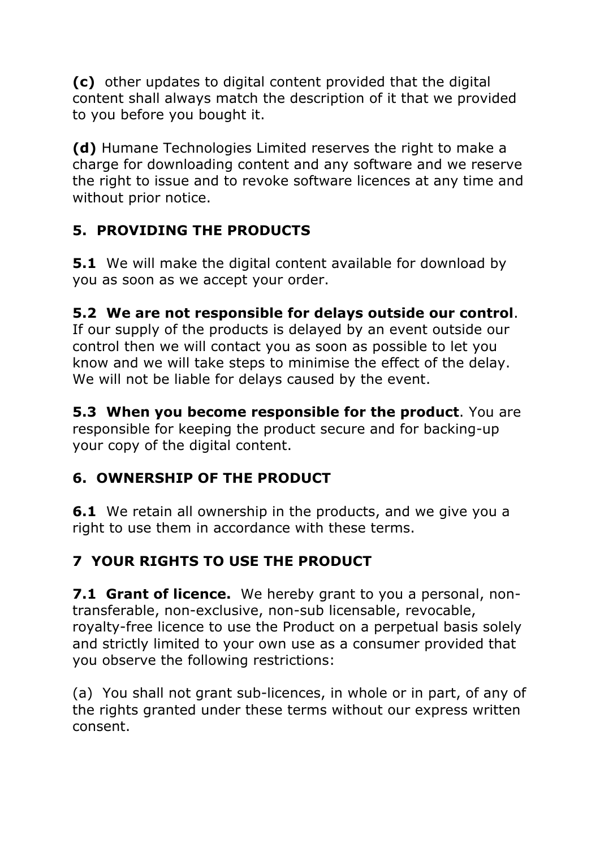**(c)** other updates to digital content provided that the digital content shall always match the description of it that we provided to you before you bought it.

**(d)** Humane Technologies Limited reserves the right to make a charge for downloading content and any software and we reserve the right to issue and to revoke software licences at any time and without prior notice.

# **5. PROVIDING THE PRODUCTS**

**5.1** We will make the digital content available for download by you as soon as we accept your order.

# **5.2 We are not responsible for delays outside our control**.

If our supply of the products is delayed by an event outside our control then we will contact you as soon as possible to let you know and we will take steps to minimise the effect of the delay. We will not be liable for delays caused by the event.

**5.3 When you become responsible for the product**. You are responsible for keeping the product secure and for backing-up your copy of the digital content.

# **6. OWNERSHIP OF THE PRODUCT**

**6.1** We retain all ownership in the products, and we give you a right to use them in accordance with these terms.

# **7 YOUR RIGHTS TO USE THE PRODUCT**

**7.1 Grant of licence.** We hereby grant to you a personal, nontransferable, non-exclusive, non-sub licensable, revocable, royalty-free licence to use the Product on a perpetual basis solely and strictly limited to your own use as a consumer provided that you observe the following restrictions:

(a) You shall not grant sub-licences, in whole or in part, of any of the rights granted under these terms without our express written consent.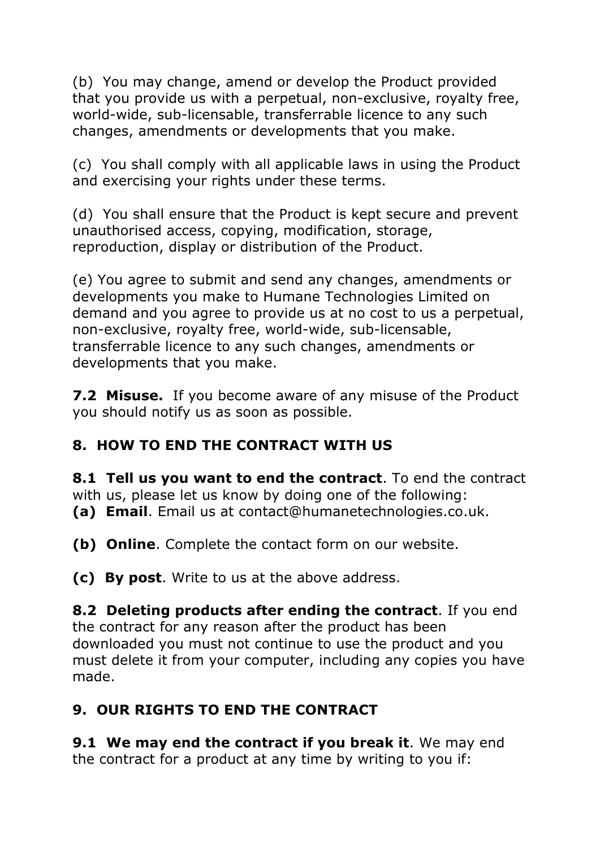(b) You may change, amend or develop the Product provided that you provide us with a perpetual, non-exclusive, royalty free, world-wide, sub-licensable, transferrable licence to any such changes, amendments or developments that you make.

(c) You shall comply with all applicable laws in using the Product and exercising your rights under these terms.

(d) You shall ensure that the Product is kept secure and prevent unauthorised access, copying, modification, storage, reproduction, display or distribution of the Product.

(e) You agree to submit and send any changes, amendments or developments you make to Humane Technologies Limited on demand and you agree to provide us at no cost to us a perpetual, non-exclusive, royalty free, world-wide, sub-licensable, transferrable licence to any such changes, amendments or developments that you make.

**7.2 Misuse.** If you become aware of any misuse of the Product you should notify us as soon as possible.

# **8. HOW TO END THE CONTRACT WITH US**

**8.1 Tell us you want to end the contract**. To end the contract with us, please let us know by doing one of the following: **(a) Email**. Email us at contact@humanetechnologies.co.uk.

**(b) Online**. Complete the contact form on our website.

**(c) By post**. Write to us at the above address.

**8.2 Deleting products after ending the contract**. If you end the contract for any reason after the product has been downloaded you must not continue to use the product and you must delete it from your computer, including any copies you have made.

# **9. OUR RIGHTS TO END THE CONTRACT**

**9.1 We may end the contract if you break it**. We may end the contract for a product at any time by writing to you if: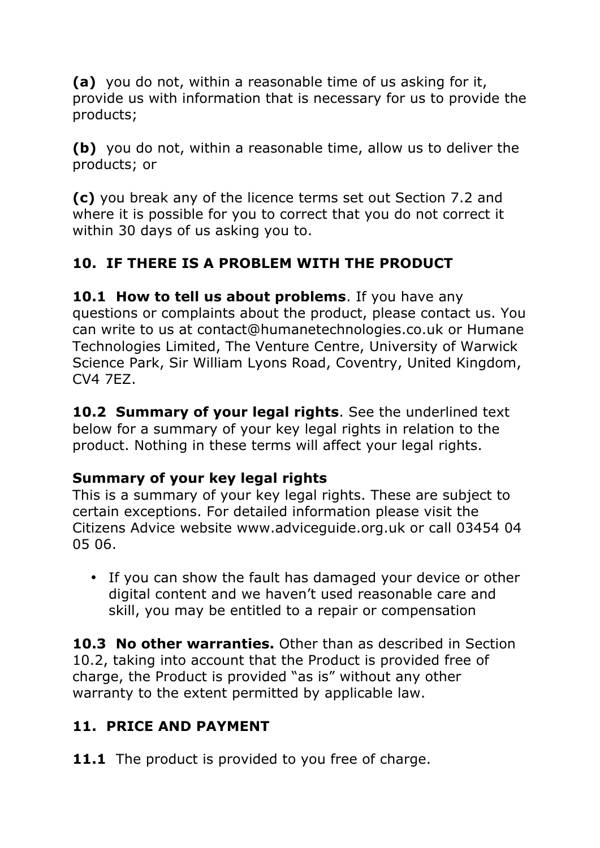**(a)** you do not, within a reasonable time of us asking for it, provide us with information that is necessary for us to provide the products;

**(b)** you do not, within a reasonable time, allow us to deliver the products; or

**(c)** you break any of the licence terms set out Section 7.2 and where it is possible for you to correct that you do not correct it within 30 days of us asking you to.

# **10. IF THERE IS A PROBLEM WITH THE PRODUCT**

**10.1 How to tell us about problems**. If you have any questions or complaints about the product, please contact us. You can write to us at contact@humanetechnologies.co.uk or Humane Technologies Limited, The Venture Centre, University of Warwick Science Park, Sir William Lyons Road, Coventry, United Kingdom, CV4 7EZ.

**10.2 Summary of your legal rights**. See the underlined text below for a summary of your key legal rights in relation to the product. Nothing in these terms will affect your legal rights.

## **Summary of your key legal rights**

This is a summary of your key legal rights. These are subject to certain exceptions. For detailed information please visit the Citizens Advice website www.adviceguide.org.uk or call 03454 04 05 06.

• If you can show the fault has damaged your device or other digital content and we haven't used reasonable care and skill, you may be entitled to a repair or compensation

**10.3 No other warranties.** Other than as described in Section 10.2, taking into account that the Product is provided free of charge, the Product is provided "as is" without any other warranty to the extent permitted by applicable law.

# **11. PRICE AND PAYMENT**

**11.1** The product is provided to you free of charge.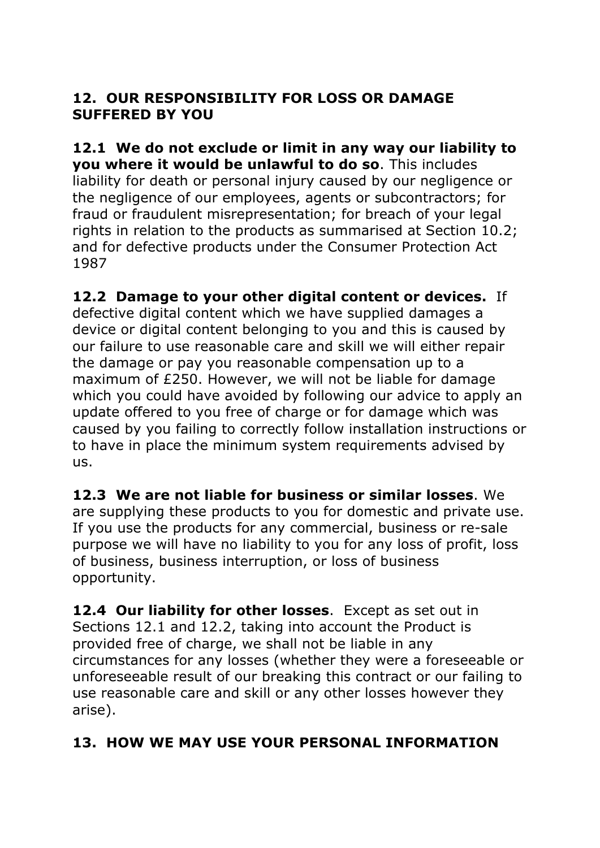## **12. OUR RESPONSIBILITY FOR LOSS OR DAMAGE SUFFERED BY YOU**

**12.1 We do not exclude or limit in any way our liability to you where it would be unlawful to do so**. This includes liability for death or personal injury caused by our negligence or the negligence of our employees, agents or subcontractors; for fraud or fraudulent misrepresentation; for breach of your legal rights in relation to the products as summarised at Section 10.2; and for defective products under the Consumer Protection Act 1987

**12.2 Damage to your other digital content or devices.** If defective digital content which we have supplied damages a device or digital content belonging to you and this is caused by our failure to use reasonable care and skill we will either repair the damage or pay you reasonable compensation up to a maximum of £250. However, we will not be liable for damage which you could have avoided by following our advice to apply an update offered to you free of charge or for damage which was caused by you failing to correctly follow installation instructions or to have in place the minimum system requirements advised by us.

**12.3 We are not liable for business or similar losses**. We are supplying these products to you for domestic and private use. If you use the products for any commercial, business or re-sale purpose we will have no liability to you for any loss of profit, loss of business, business interruption, or loss of business opportunity.

**12.4 Our liability for other losses**. Except as set out in Sections 12.1 and 12.2, taking into account the Product is provided free of charge, we shall not be liable in any circumstances for any losses (whether they were a foreseeable or unforeseeable result of our breaking this contract or our failing to use reasonable care and skill or any other losses however they arise).

# **13. HOW WE MAY USE YOUR PERSONAL INFORMATION**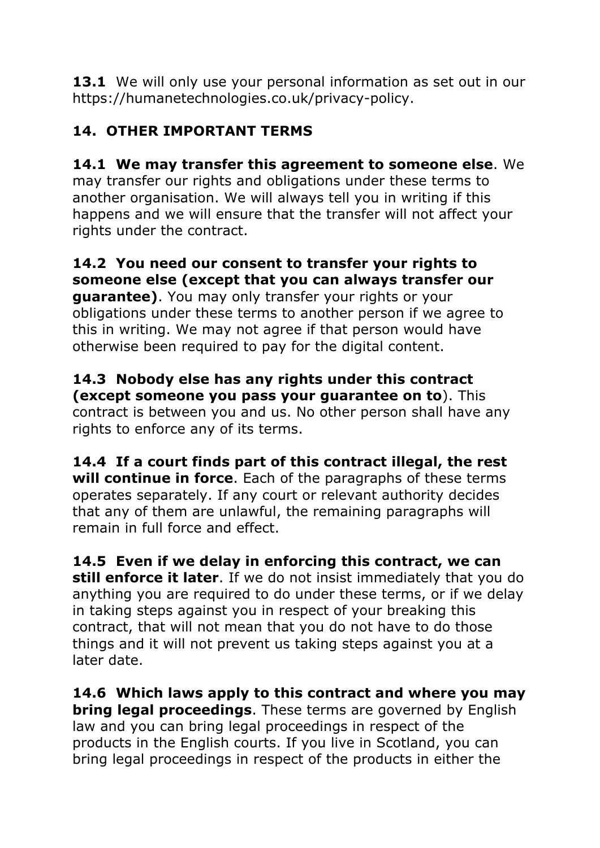**13.1** We will only use your personal information as set out in our https://humanetechnologies.co.uk/privacy-policy.

# **14. OTHER IMPORTANT TERMS**

**14.1 We may transfer this agreement to someone else**. We may transfer our rights and obligations under these terms to another organisation. We will always tell you in writing if this happens and we will ensure that the transfer will not affect your rights under the contract.

**14.2 You need our consent to transfer your rights to someone else (except that you can always transfer our guarantee)**. You may only transfer your rights or your obligations under these terms to another person if we agree to this in writing. We may not agree if that person would have otherwise been required to pay for the digital content.

**14.3 Nobody else has any rights under this contract (except someone you pass your guarantee on to**). This contract is between you and us. No other person shall have any rights to enforce any of its terms.

**14.4 If a court finds part of this contract illegal, the rest will continue in force**. Each of the paragraphs of these terms operates separately. If any court or relevant authority decides that any of them are unlawful, the remaining paragraphs will remain in full force and effect.

**14.5 Even if we delay in enforcing this contract, we can still enforce it later**. If we do not insist immediately that you do anything you are required to do under these terms, or if we delay in taking steps against you in respect of your breaking this contract, that will not mean that you do not have to do those things and it will not prevent us taking steps against you at a later date.

**14.6 Which laws apply to this contract and where you may bring legal proceedings**. These terms are governed by English law and you can bring legal proceedings in respect of the products in the English courts. If you live in Scotland, you can bring legal proceedings in respect of the products in either the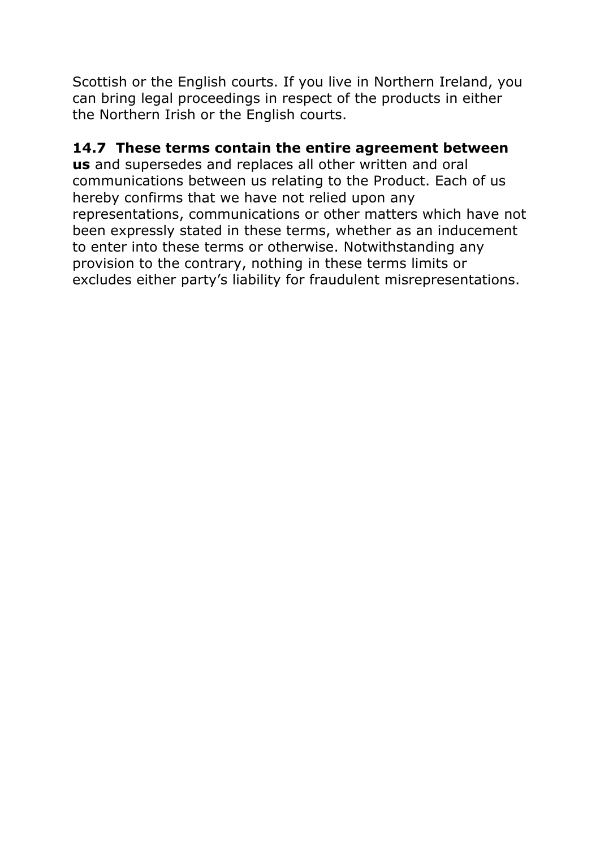Scottish or the English courts. If you live in Northern Ireland, you can bring legal proceedings in respect of the products in either the Northern Irish or the English courts.

# **14.7 These terms contain the entire agreement between**

**us** and supersedes and replaces all other written and oral communications between us relating to the Product. Each of us hereby confirms that we have not relied upon any representations, communications or other matters which have not been expressly stated in these terms, whether as an inducement to enter into these terms or otherwise. Notwithstanding any provision to the contrary, nothing in these terms limits or excludes either party's liability for fraudulent misrepresentations.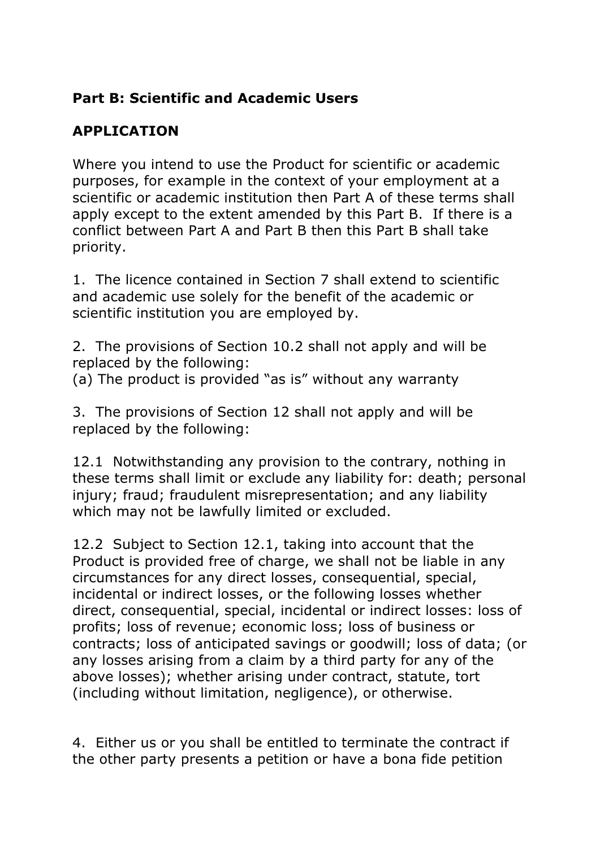## **Part B: Scientific and Academic Users**

## **APPLICATION**

Where you intend to use the Product for scientific or academic purposes, for example in the context of your employment at a scientific or academic institution then Part A of these terms shall apply except to the extent amended by this Part B. If there is a conflict between Part A and Part B then this Part B shall take priority.

1. The licence contained in Section 7 shall extend to scientific and academic use solely for the benefit of the academic or scientific institution you are employed by.

2. The provisions of Section 10.2 shall not apply and will be replaced by the following:

(a) The product is provided "as is" without any warranty

3. The provisions of Section 12 shall not apply and will be replaced by the following:

12.1 Notwithstanding any provision to the contrary, nothing in these terms shall limit or exclude any liability for: death; personal injury; fraud; fraudulent misrepresentation; and any liability which may not be lawfully limited or excluded.

12.2 Subject to Section 12.1, taking into account that the Product is provided free of charge, we shall not be liable in any circumstances for any direct losses, consequential, special, incidental or indirect losses, or the following losses whether direct, consequential, special, incidental or indirect losses: loss of profits; loss of revenue; economic loss; loss of business or contracts; loss of anticipated savings or goodwill; loss of data; (or any losses arising from a claim by a third party for any of the above losses); whether arising under contract, statute, tort (including without limitation, negligence), or otherwise.

4. Either us or you shall be entitled to terminate the contract if the other party presents a petition or have a bona fide petition